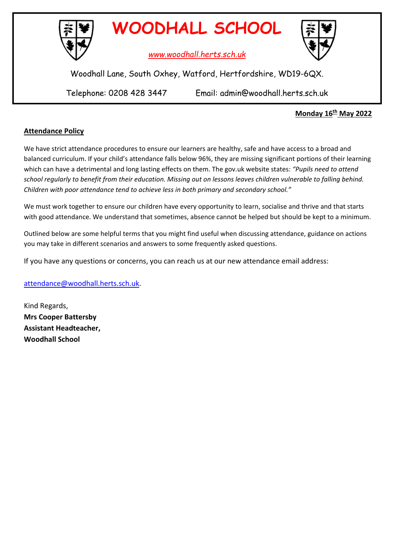

**WOODHALL SCHOOL**

*www.woodhall.herts.sch.uk*



Woodhall Lane, South Oxhey, Watford, Hertfordshire, WD19-6QX.

Telephone: 0208 428 3447 Email: admin@woodhall.herts.sch.uk

## **Monday 16th May 2022**

## **Attendance Policy**

We have strict attendance procedures to ensure our learners are healthy, safe and have access to a broad and balanced curriculum. If your child's attendance falls below 96%, they are missing significant portions of their learning which can have a detrimental and long lasting effects on them. The gov.uk website states: *"Pupils need to attend school regularly to benefit from their education. Missing out on lessons leaves children vulnerable to falling behind. Children with poor attendance tend to achieve less in both primary and secondary school."*

We must work together to ensure our children have every opportunity to learn, socialise and thrive and that starts with good attendance. We understand that sometimes, absence cannot be helped but should be kept to a minimum.

Outlined below are some helpful terms that you might find useful when discussing attendance, guidance on actions you may take in different scenarios and answers to some frequently asked questions.

If you have any questions or concerns, you can reach us at our new attendance email address:

[attendance@woodhall.herts.sch.uk.](mailto:attendance@woodhall.herts.sch.uk)

Kind Regards, **Mrs Cooper Battersby Assistant Headteacher, Woodhall School**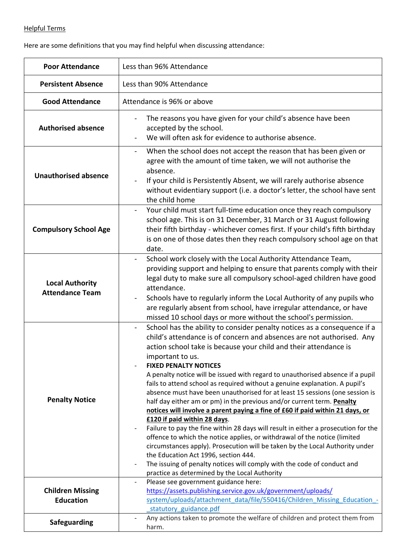## Helpful Terms

Here are some definitions that you may find helpful when discussing attendance:

| <b>Poor Attendance</b>                           | Less than 96% Attendance                                                                                                                                                                                                                                                                                                                                                                                                                                                                                                                                                                                                                                                                                                                                                                                                                                                                                                                                                                                                                                                                                                                                                                                 |  |  |
|--------------------------------------------------|----------------------------------------------------------------------------------------------------------------------------------------------------------------------------------------------------------------------------------------------------------------------------------------------------------------------------------------------------------------------------------------------------------------------------------------------------------------------------------------------------------------------------------------------------------------------------------------------------------------------------------------------------------------------------------------------------------------------------------------------------------------------------------------------------------------------------------------------------------------------------------------------------------------------------------------------------------------------------------------------------------------------------------------------------------------------------------------------------------------------------------------------------------------------------------------------------------|--|--|
| <b>Persistent Absence</b>                        | Less than 90% Attendance                                                                                                                                                                                                                                                                                                                                                                                                                                                                                                                                                                                                                                                                                                                                                                                                                                                                                                                                                                                                                                                                                                                                                                                 |  |  |
| <b>Good Attendance</b>                           | Attendance is 96% or above                                                                                                                                                                                                                                                                                                                                                                                                                                                                                                                                                                                                                                                                                                                                                                                                                                                                                                                                                                                                                                                                                                                                                                               |  |  |
| <b>Authorised absence</b>                        | The reasons you have given for your child's absence have been<br>accepted by the school.<br>We will often ask for evidence to authorise absence.<br>$\overline{\phantom{a}}$                                                                                                                                                                                                                                                                                                                                                                                                                                                                                                                                                                                                                                                                                                                                                                                                                                                                                                                                                                                                                             |  |  |
| <b>Unauthorised absence</b>                      | When the school does not accept the reason that has been given or<br>agree with the amount of time taken, we will not authorise the<br>absence.<br>If your child is Persistently Absent, we will rarely authorise absence<br>without evidentiary support (i.e. a doctor's letter, the school have sent<br>the child home                                                                                                                                                                                                                                                                                                                                                                                                                                                                                                                                                                                                                                                                                                                                                                                                                                                                                 |  |  |
| <b>Compulsory School Age</b>                     | Your child must start full-time education once they reach compulsory<br>school age. This is on 31 December, 31 March or 31 August following<br>their fifth birthday - whichever comes first. If your child's fifth birthday<br>is on one of those dates then they reach compulsory school age on that<br>date.                                                                                                                                                                                                                                                                                                                                                                                                                                                                                                                                                                                                                                                                                                                                                                                                                                                                                           |  |  |
| <b>Local Authority</b><br><b>Attendance Team</b> | School work closely with the Local Authority Attendance Team,<br>providing support and helping to ensure that parents comply with their<br>legal duty to make sure all compulsory school-aged children have good<br>attendance.<br>Schools have to regularly inform the Local Authority of any pupils who<br>are regularly absent from school, have irregular attendance, or have<br>missed 10 school days or more without the school's permission.                                                                                                                                                                                                                                                                                                                                                                                                                                                                                                                                                                                                                                                                                                                                                      |  |  |
| <b>Penalty Notice</b>                            | School has the ability to consider penalty notices as a consequence if a<br>child's attendance is of concern and absences are not authorised. Any<br>action school take is because your child and their attendance is<br>important to us.<br><b>FIXED PENALTY NOTICES</b><br>A penalty notice will be issued with regard to unauthorised absence if a pupil<br>fails to attend school as required without a genuine explanation. A pupil's<br>absence must have been unauthorised for at least 15 sessions (one session is<br>half day either am or pm) in the previous and/or current term. Penalty<br>notices will involve a parent paying a fine of £60 if paid within 21 days, or<br>£120 if paid within 28 days.<br>Failure to pay the fine within 28 days will result in either a prosecution for the<br>$\overline{\phantom{a}}$<br>offence to which the notice applies, or withdrawal of the notice (limited<br>circumstances apply). Prosecution will be taken by the Local Authority under<br>the Education Act 1996, section 444.<br>The issuing of penalty notices will comply with the code of conduct and<br>$\qquad \qquad \blacksquare$<br>practice as determined by the Local Authority |  |  |
| <b>Children Missing</b><br><b>Education</b>      | Please see government guidance here:<br>https://assets.publishing.service.gov.uk/government/uploads/<br>system/uploads/attachment_data/file/550416/Children_Missing_Education -<br>statutory guidance.pdf                                                                                                                                                                                                                                                                                                                                                                                                                                                                                                                                                                                                                                                                                                                                                                                                                                                                                                                                                                                                |  |  |
| <b>Safeguarding</b>                              | Any actions taken to promote the welfare of children and protect them from<br>harm.                                                                                                                                                                                                                                                                                                                                                                                                                                                                                                                                                                                                                                                                                                                                                                                                                                                                                                                                                                                                                                                                                                                      |  |  |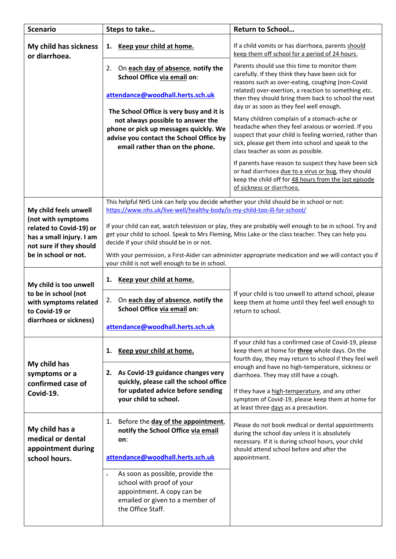| <b>Scenario</b>                                                                                                     | Steps to take                                                                                                                                                                                                                                                                                                                                                     | <b>Return to School</b>                                                                                                                                                                                                                                  |
|---------------------------------------------------------------------------------------------------------------------|-------------------------------------------------------------------------------------------------------------------------------------------------------------------------------------------------------------------------------------------------------------------------------------------------------------------------------------------------------------------|----------------------------------------------------------------------------------------------------------------------------------------------------------------------------------------------------------------------------------------------------------|
| My child has sickness<br>or diarrhoea.                                                                              | Keep your child at home.<br>1.                                                                                                                                                                                                                                                                                                                                    | If a child vomits or has diarrhoea, parents should<br>keep them off school for a period of 24 hours.                                                                                                                                                     |
|                                                                                                                     | On each day of absence, notify the<br>2.<br>School Office via email on:                                                                                                                                                                                                                                                                                           | Parents should use this time to monitor them<br>carefully. If they think they have been sick for<br>reasons such as over-eating, coughing (non-Covid                                                                                                     |
|                                                                                                                     | attendance@woodhall.herts.sch.uk                                                                                                                                                                                                                                                                                                                                  | related) over-exertion, a reaction to something etc.<br>then they should bring them back to school the next<br>day or as soon as they feel well enough.                                                                                                  |
|                                                                                                                     | The School Office is very busy and it is<br>not always possible to answer the<br>phone or pick up messages quickly. We<br>advise you contact the School Office by<br>email rather than on the phone.                                                                                                                                                              | Many children complain of a stomach-ache or<br>headache when they feel anxious or worried. If you<br>suspect that your child is feeling worried, rather than<br>sick, please get them into school and speak to the<br>class teacher as soon as possible. |
|                                                                                                                     |                                                                                                                                                                                                                                                                                                                                                                   | If parents have reason to suspect they have been sick<br>or had diarrhoea due to a virus or bug, they should<br>keep the child off for 48 hours from the last episode<br>of sickness or diarrhoea.                                                       |
| My child feels unwell<br>(not with symptoms                                                                         | This helpful NHS Link can help you decide whether your child should be in school or not:<br>https://www.nhs.uk/live-well/healthy-body/is-my-child-too-ill-for-school/                                                                                                                                                                                             |                                                                                                                                                                                                                                                          |
| related to Covid-19) or<br>has a small injury. I am<br>not sure if they should<br>be in school or not.              | If your child can eat, watch television or play, they are probably well enough to be in school. Try and<br>get your child to school. Speak to Mrs Fleming, Miss Lake or the class teacher. They can help you<br>decide if your child should be in or not.<br>With your permission, a First-Aider can administer appropriate medication and we will contact you if |                                                                                                                                                                                                                                                          |
|                                                                                                                     | your child is not well enough to be in school.                                                                                                                                                                                                                                                                                                                    |                                                                                                                                                                                                                                                          |
| My child is too unwell<br>to be in school (not<br>with symptoms related<br>to Covid-19 or<br>diarrhoea or sickness) | Keep your child at home.<br>1.                                                                                                                                                                                                                                                                                                                                    |                                                                                                                                                                                                                                                          |
|                                                                                                                     | On each day of absence, notify the<br>2.<br>School Office via email on:                                                                                                                                                                                                                                                                                           | If your child is too unwell to attend school, please<br>keep them at home until they feel well enough to<br>return to school.                                                                                                                            |
|                                                                                                                     | attendance@woodhall.herts.sch.uk                                                                                                                                                                                                                                                                                                                                  |                                                                                                                                                                                                                                                          |
| My child has<br>symptoms or a<br>confirmed case of<br>Covid-19.                                                     | Keep your child at home.<br>1.                                                                                                                                                                                                                                                                                                                                    | If your child has a confirmed case of Covid-19, please<br>keep them at home for three whole days. On the<br>fourth day, they may return to school if they feel well                                                                                      |
|                                                                                                                     | 2. As Covid-19 guidance changes very<br>quickly, please call the school office                                                                                                                                                                                                                                                                                    | enough and have no high-temperature, sickness or<br>diarrhoea. They may still have a cough.                                                                                                                                                              |
|                                                                                                                     | for updated advice before sending<br>your child to school.                                                                                                                                                                                                                                                                                                        | If they have a high-temperature, and any other<br>symptom of Covid-19, please keep them at home for<br>at least three days as a precaution.                                                                                                              |
| My child has a<br>medical or dental<br>appointment during<br>school hours.                                          | Before the day of the appointment,<br>1.<br>notify the School Office via email<br>on:                                                                                                                                                                                                                                                                             | Please do not book medical or dental appointments<br>during the school day unless it is absolutely<br>necessary. If it is during school hours, your child<br>should attend school before and after the                                                   |
|                                                                                                                     | attendance@woodhall.herts.sch.uk                                                                                                                                                                                                                                                                                                                                  | appointment.                                                                                                                                                                                                                                             |
|                                                                                                                     | As soon as possible, provide the<br>$\overline{2}$ .<br>school with proof of your<br>appointment. A copy can be<br>emailed or given to a member of<br>the Office Staff.                                                                                                                                                                                           |                                                                                                                                                                                                                                                          |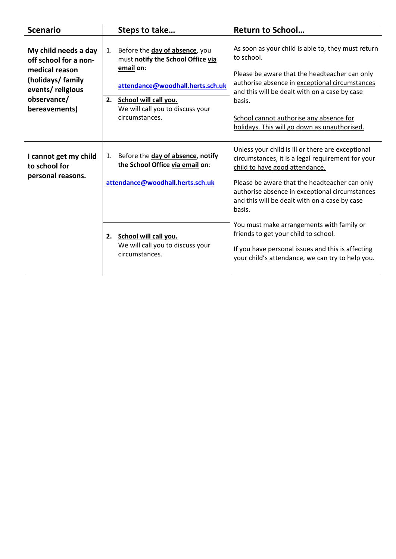| <b>Scenario</b>                                                                                                                          | Steps to take                                                                                                                                                                                                   | <b>Return to School</b>                                                                                                                                                                                                                                                                                                                                                                                                                                                                              |
|------------------------------------------------------------------------------------------------------------------------------------------|-----------------------------------------------------------------------------------------------------------------------------------------------------------------------------------------------------------------|------------------------------------------------------------------------------------------------------------------------------------------------------------------------------------------------------------------------------------------------------------------------------------------------------------------------------------------------------------------------------------------------------------------------------------------------------------------------------------------------------|
| My child needs a day<br>off school for a non-<br>medical reason<br>(holidays/ family<br>events/religious<br>observance/<br>bereavements) | Before the day of absence, you<br>1.<br>must notify the School Office via<br>email on:<br>attendance@woodhall.herts.sch.uk<br>School will call you.<br>2.<br>We will call you to discuss your<br>circumstances. | As soon as your child is able to, they must return<br>to school.<br>Please be aware that the headteacher can only<br>authorise absence in exceptional circumstances<br>and this will be dealt with on a case by case<br>basis.<br>School cannot authorise any absence for<br>holidays. This will go down as unauthorised.                                                                                                                                                                            |
| I cannot get my child<br>to school for<br>personal reasons.                                                                              | 1. Before the day of absence, notify<br>the School Office via email on:<br>attendance@woodhall.herts.sch.uk<br>2. School will call you.<br>We will call you to discuss your<br>circumstances.                   | Unless your child is ill or there are exceptional<br>circumstances, it is a legal requirement for your<br>child to have good attendance.<br>Please be aware that the headteacher can only<br>authorise absence in exceptional circumstances<br>and this will be dealt with on a case by case<br>basis.<br>You must make arrangements with family or<br>friends to get your child to school.<br>If you have personal issues and this is affecting<br>your child's attendance, we can try to help you. |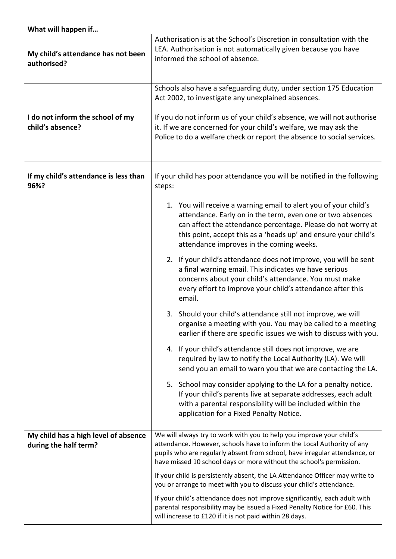| What will happen if                                  |                                                                                                                                                                                                                                                                                                                                                  |  |
|------------------------------------------------------|--------------------------------------------------------------------------------------------------------------------------------------------------------------------------------------------------------------------------------------------------------------------------------------------------------------------------------------------------|--|
| My child's attendance has not been<br>authorised?    | Authorisation is at the School's Discretion in consultation with the<br>LEA. Authorisation is not automatically given because you have<br>informed the school of absence.                                                                                                                                                                        |  |
| I do not inform the school of my<br>child's absence? | Schools also have a safeguarding duty, under section 175 Education<br>Act 2002, to investigate any unexplained absences.<br>If you do not inform us of your child's absence, we will not authorise<br>it. If we are concerned for your child's welfare, we may ask the<br>Police to do a welfare check or report the absence to social services. |  |
|                                                      |                                                                                                                                                                                                                                                                                                                                                  |  |
| If my child's attendance is less than<br>96%?        | If your child has poor attendance you will be notified in the following<br>steps:                                                                                                                                                                                                                                                                |  |
|                                                      | 1. You will receive a warning email to alert you of your child's<br>attendance. Early on in the term, even one or two absences<br>can affect the attendance percentage. Please do not worry at<br>this point, accept this as a 'heads up' and ensure your child's<br>attendance improves in the coming weeks.                                    |  |
|                                                      | 2. If your child's attendance does not improve, you will be sent<br>a final warning email. This indicates we have serious<br>concerns about your child's attendance. You must make<br>every effort to improve your child's attendance after this<br>email.                                                                                       |  |
|                                                      | 3. Should your child's attendance still not improve, we will<br>organise a meeting with you. You may be called to a meeting<br>earlier if there are specific issues we wish to discuss with you.                                                                                                                                                 |  |
|                                                      | 4. If your child's attendance still does not improve, we are<br>required by law to notify the Local Authority (LA). We will<br>send you an email to warn you that we are contacting the LA.                                                                                                                                                      |  |
|                                                      | 5. School may consider applying to the LA for a penalty notice.<br>If your child's parents live at separate addresses, each adult<br>with a parental responsibility will be included within the<br>application for a Fixed Penalty Notice.                                                                                                       |  |
| My child has a high level of absence                 | We will always try to work with you to help you improve your child's                                                                                                                                                                                                                                                                             |  |
| during the half term?                                | attendance. However, schools have to inform the Local Authority of any<br>pupils who are regularly absent from school, have irregular attendance, or<br>have missed 10 school days or more without the school's permission.                                                                                                                      |  |
|                                                      | If your child is persistently absent, the LA Attendance Officer may write to<br>you or arrange to meet with you to discuss your child's attendance.                                                                                                                                                                                              |  |
|                                                      | If your child's attendance does not improve significantly, each adult with<br>parental responsibility may be issued a Fixed Penalty Notice for £60. This<br>will increase to £120 if it is not paid within 28 days.                                                                                                                              |  |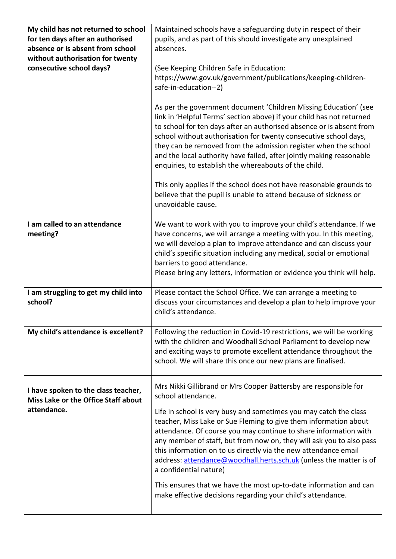| My child has not returned to school<br>for ten days after an authorised<br>absence or is absent from school<br>without authorisation for twenty<br>consecutive school days? | Maintained schools have a safeguarding duty in respect of their<br>pupils, and as part of this should investigate any unexplained<br>absences.<br>(See Keeping Children Safe in Education:<br>https://www.gov.uk/government/publications/keeping-children-<br>safe-in-education--2)<br>As per the government document 'Children Missing Education' (see<br>link in 'Helpful Terms' section above) if your child has not returned<br>to school for ten days after an authorised absence or is absent from<br>school without authorisation for twenty consecutive school days,<br>they can be removed from the admission register when the school<br>and the local authority have failed, after jointly making reasonable<br>enquiries, to establish the whereabouts of the child.<br>This only applies if the school does not have reasonable grounds to<br>believe that the pupil is unable to attend because of sickness or<br>unavoidable cause. |
|-----------------------------------------------------------------------------------------------------------------------------------------------------------------------------|----------------------------------------------------------------------------------------------------------------------------------------------------------------------------------------------------------------------------------------------------------------------------------------------------------------------------------------------------------------------------------------------------------------------------------------------------------------------------------------------------------------------------------------------------------------------------------------------------------------------------------------------------------------------------------------------------------------------------------------------------------------------------------------------------------------------------------------------------------------------------------------------------------------------------------------------------|
| I am called to an attendance<br>meeting?                                                                                                                                    | We want to work with you to improve your child's attendance. If we<br>have concerns, we will arrange a meeting with you. In this meeting,<br>we will develop a plan to improve attendance and can discuss your<br>child's specific situation including any medical, social or emotional<br>barriers to good attendance.<br>Please bring any letters, information or evidence you think will help.                                                                                                                                                                                                                                                                                                                                                                                                                                                                                                                                                  |
| I am struggling to get my child into<br>school?                                                                                                                             | Please contact the School Office. We can arrange a meeting to<br>discuss your circumstances and develop a plan to help improve your<br>child's attendance.                                                                                                                                                                                                                                                                                                                                                                                                                                                                                                                                                                                                                                                                                                                                                                                         |
| My child's attendance is excellent?                                                                                                                                         | Following the reduction in Covid-19 restrictions, we will be working<br>with the children and Woodhall School Parliament to develop new<br>and exciting ways to promote excellent attendance throughout the<br>school. We will share this once our new plans are finalised.                                                                                                                                                                                                                                                                                                                                                                                                                                                                                                                                                                                                                                                                        |
| I have spoken to the class teacher,<br>Miss Lake or the Office Staff about<br>attendance.                                                                                   | Mrs Nikki Gillibrand or Mrs Cooper Battersby are responsible for<br>school attendance.<br>Life in school is very busy and sometimes you may catch the class<br>teacher, Miss Lake or Sue Fleming to give them information about<br>attendance. Of course you may continue to share information with<br>any member of staff, but from now on, they will ask you to also pass<br>this information on to us directly via the new attendance email<br>address: attendance@woodhall.herts.sch.uk (unless the matter is of<br>a confidential nature)<br>This ensures that we have the most up-to-date information and can<br>make effective decisions regarding your child's attendance.                                                                                                                                                                                                                                                                 |